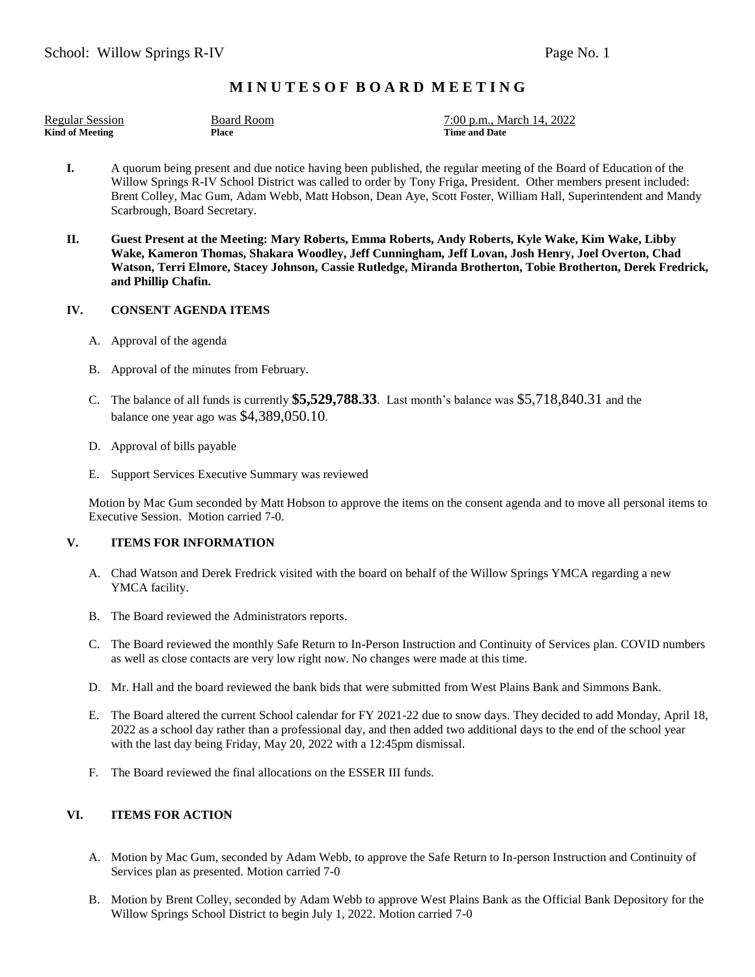# **M I N U T E S O F B O A R D M E E T I N G**

| <b>Regular Session</b> | <b>Board Room</b> |
|------------------------|-------------------|
| <b>Kind of Meeting</b> | Place             |

7:00 p.m., March 14, 2022 **Kime and Date** 

- **I.** A quorum being present and due notice having been published, the regular meeting of the Board of Education of the Willow Springs R-IV School District was called to order by Tony Friga, President. Other members present included: Brent Colley, Mac Gum, Adam Webb, Matt Hobson, Dean Aye, Scott Foster, William Hall, Superintendent and Mandy Scarbrough, Board Secretary.
- **II. Guest Present at the Meeting: Mary Roberts, Emma Roberts, Andy Roberts, Kyle Wake, Kim Wake, Libby Wake, Kameron Thomas, Shakara Woodley, Jeff Cunningham, Jeff Lovan, Josh Henry, Joel Overton, Chad Watson, Terri Elmore, Stacey Johnson, Cassie Rutledge, Miranda Brotherton, Tobie Brotherton, Derek Fredrick, and Phillip Chafin.**

### **IV. CONSENT AGENDA ITEMS**

- A. Approval of the agenda
- B. Approval of the minutes from February.
- C. The balance of all funds is currently **\$5,529,788.33**. Last month's balance was \$5,718,840.31 and the balance one year ago was \$4,389,050.10.
- D. Approval of bills payable
- E. Support Services Executive Summary was reviewed

Motion by Mac Gum seconded by Matt Hobson to approve the items on the consent agenda and to move all personal items to Executive Session. Motion carried 7-0.

## **V. ITEMS FOR INFORMATION**

- A. Chad Watson and Derek Fredrick visited with the board on behalf of the Willow Springs YMCA regarding a new YMCA facility.
- B. The Board reviewed the Administrators reports.
- C. The Board reviewed the monthly Safe Return to In-Person Instruction and Continuity of Services plan. COVID numbers as well as close contacts are very low right now. No changes were made at this time.
- D. Mr. Hall and the board reviewed the bank bids that were submitted from West Plains Bank and Simmons Bank.
- E. The Board altered the current School calendar for FY 2021-22 due to snow days. They decided to add Monday, April 18, 2022 as a school day rather than a professional day, and then added two additional days to the end of the school year with the last day being Friday, May 20, 2022 with a 12:45pm dismissal.
- F. The Board reviewed the final allocations on the ESSER III funds.

# **VI. ITEMS FOR ACTION**

- A. Motion by Mac Gum, seconded by Adam Webb, to approve the Safe Return to In-person Instruction and Continuity of Services plan as presented. Motion carried 7-0
- B. Motion by Brent Colley, seconded by Adam Webb to approve West Plains Bank as the Official Bank Depository for the Willow Springs School District to begin July 1, 2022. Motion carried 7-0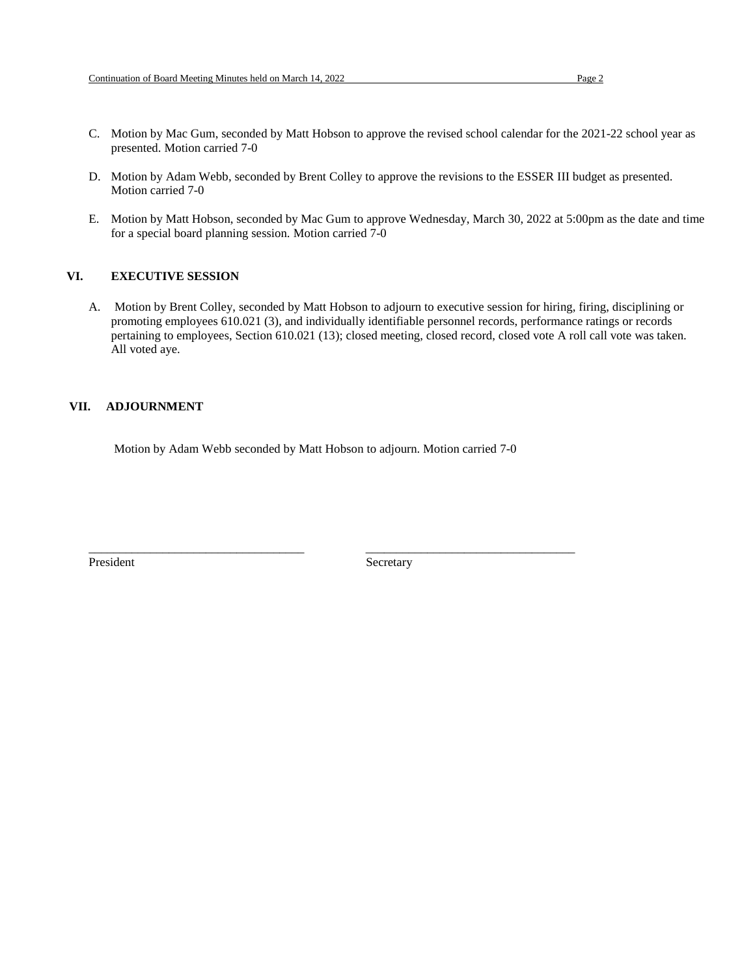- C. Motion by Mac Gum, seconded by Matt Hobson to approve the revised school calendar for the 2021-22 school year as presented. Motion carried 7-0
- D. Motion by Adam Webb, seconded by Brent Colley to approve the revisions to the ESSER III budget as presented. Motion carried 7-0
- E. Motion by Matt Hobson, seconded by Mac Gum to approve Wednesday, March 30, 2022 at 5:00pm as the date and time for a special board planning session. Motion carried 7-0

#### **VI. EXECUTIVE SESSION**

A. Motion by Brent Colley, seconded by Matt Hobson to adjourn to executive session for hiring, firing, disciplining or promoting employees 610.021 (3), and individually identifiable personnel records, performance ratings or records pertaining to employees, Section 610.021 (13); closed meeting, closed record, closed vote A roll call vote was taken. All voted aye.

## **VII. ADJOURNMENT**

Motion by Adam Webb seconded by Matt Hobson to adjourn. Motion carried 7-0

\_\_\_\_\_\_\_\_\_\_\_\_\_\_\_\_\_\_\_\_\_\_\_\_\_\_\_\_\_\_\_\_\_\_\_ \_\_\_\_\_\_\_\_\_\_\_\_\_\_\_\_\_\_\_\_\_\_\_\_\_\_\_\_\_\_\_\_\_\_

President Secretary